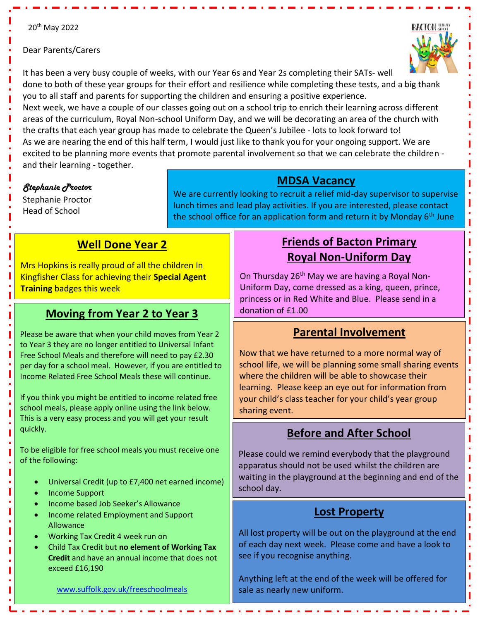Dear Parents/Carers



It has been a very busy couple of weeks, with our Year 6s and Year 2s completing their SATs- well done to both of these year groups for their effort and resilience while completing these tests, and a big thank you to all staff and parents for supporting the children and ensuring a positive experience.

Next week, we have a couple of our classes going out on a school trip to enrich their learning across different areas of the curriculum, Royal Non-school Uniform Day, and we will be decorating an area of the church with the crafts that each year group has made to celebrate the Queen's Jubilee - lots to look forward to! As we are nearing the end of this half term, I would just like to thank you for your ongoing support. We are excited to be planning more events that promote parental involvement so that we can celebrate the children and their learning - together.

i

#### *Stephanie Proctor*

Stephanie Proctor Head of School

#### **MDSA Vacancy**

We are currently looking to recruit a relief mid-day supervisor to supervise lunch times and lead play activities. If you are interested, please contact the school office for an application form and return it by Monday  $6<sup>th</sup>$  June

# **Well Done Year 2**

Mrs Hopkins is really proud of all the children In Kingfisher Class for achieving their **Special Agent Training** badges this week

# **Moving from Year 2 to Year 3**

Please be aware that when your child moves from Year 2 to Year 3 they are no longer entitled to Universal Infant Free School Meals and therefore will need to pay £2.30 per day for a school meal. However, if you are entitled to Income Related Free School Meals these will continue.

If you think you might be entitled to income related free school meals, please apply online using the link below. This is a very easy process and you will get your result quickly.

To be eligible for free school meals you must receive one of the following:

- Universal Credit (up to £7,400 net earned income)
- Income Support
- Income based Job Seeker's Allowance
- Income related Employment and Support Allowance
- Working Tax Credit 4 week run on
- Child Tax Credit but **no element of Working Tax Credit** and have an annual income that does not exceed £16,190

# **Friends of Bacton Primary Royal Non-Uniform Day**

On Thursday 26<sup>th</sup> May we are having a Royal Non-Uniform Day, come dressed as a king, queen, prince, princess or in Red White and Blue. Please send in a donation of £1.00

## **Parental Involvement**

 Now that we have returned to a more normal way of school life, we will be planning some small sharing events where the children will be able to showcase their learning. Please keep an eye out for information from your child's class teacher for your child's year group sharing event.

## **Before and After School**

Please could we remind everybody that the playground apparatus should not be used whilst the children are waiting in the playground at the beginning and end of the school day.

### **Lost Property**

All lost property will be out on the playground at the end of each day next week. Please come and have a look to see if you recognise anything.

Anything left at the end of the week will be offered for sale as nearly new uniform.

[www.suffolk.gov.uk/freeschoolmeals](file://///bcps2012/officestaff$/Office%20Shared/Newsletters/21-22/May/www.suffolk.gov.uk/freeschoolmeals)